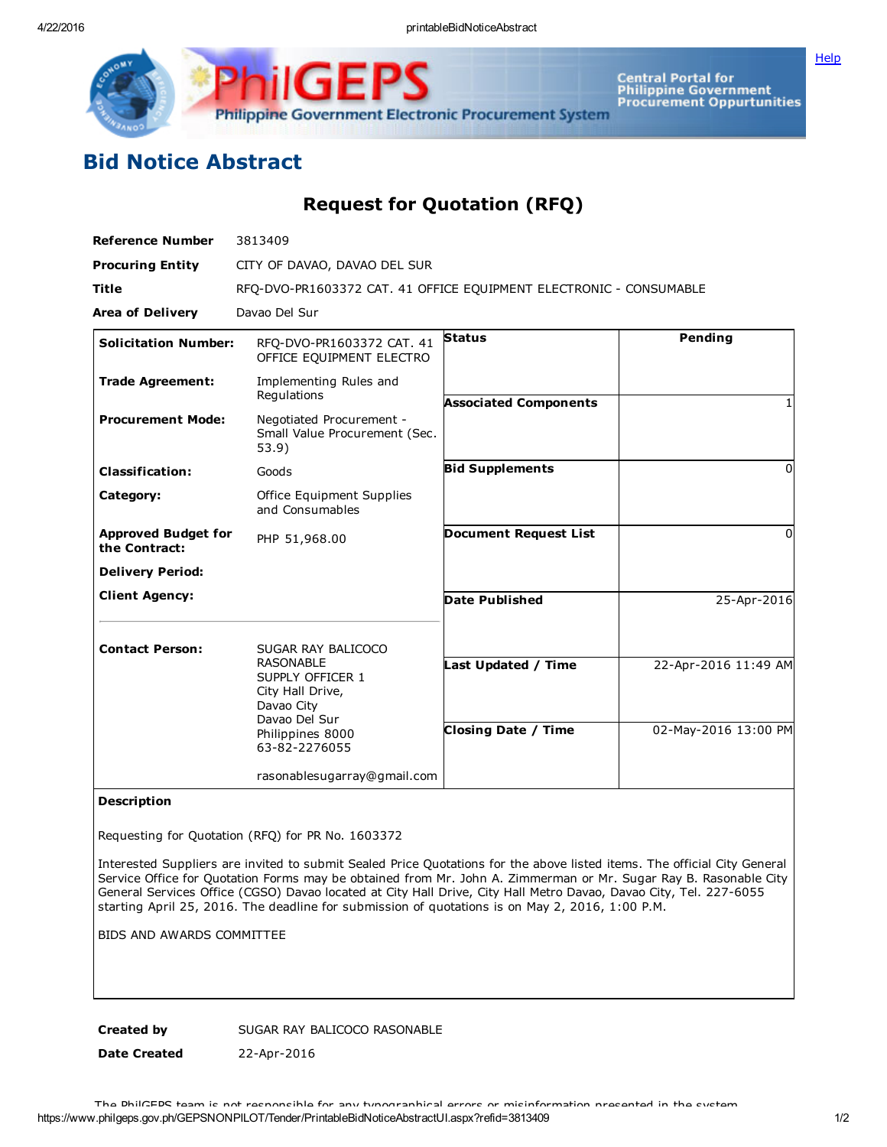

IGE Philippine Government Electronic Procurement System

Central Portal for<br>Philippine Government<br>Procurement Oppurtunities

## Bid Notice Abstract

Request for Quotation (RFQ)

| <b>Reference Number</b>                     | 3813409                                                             |                              |                      |
|---------------------------------------------|---------------------------------------------------------------------|------------------------------|----------------------|
| <b>Procuring Entity</b>                     | CITY OF DAVAO, DAVAO DEL SUR                                        |                              |                      |
| <b>Title</b>                                | RFO-DVO-PR1603372 CAT. 41 OFFICE EOUIPMENT ELECTRONIC - CONSUMABLE  |                              |                      |
| <b>Area of Delivery</b>                     | Davao Del Sur                                                       |                              |                      |
| <b>Solicitation Number:</b>                 | RFO-DVO-PR1603372 CAT. 41<br>OFFICE EQUIPMENT ELECTRO               | <b>Status</b>                | Pending              |
| <b>Trade Agreement:</b>                     | Implementing Rules and<br>Regulations                               | <b>Associated Components</b> |                      |
| <b>Procurement Mode:</b>                    | Negotiated Procurement -<br>Small Value Procurement (Sec.<br>53.9)  |                              |                      |
| <b>Classification:</b>                      | Goods                                                               | <b>Bid Supplements</b>       | <sup>0</sup>         |
| Category:                                   | Office Equipment Supplies<br>and Consumables                        |                              |                      |
| <b>Approved Budget for</b><br>the Contract: | PHP 51,968.00                                                       | <b>Document Request List</b> | $\Omega$             |
| <b>Delivery Period:</b>                     |                                                                     |                              |                      |
| <b>Client Agency:</b>                       |                                                                     | <b>Date Published</b>        | 25-Apr-2016          |
| <b>Contact Person:</b>                      | SUGAR RAY BALICOCO<br><b>RASONABLE</b>                              | Last Updated / Time          | 22-Apr-2016 11:49 AM |
|                                             | SUPPLY OFFICER 1<br>City Hall Drive,<br>Davao City<br>Davao Del Sur |                              |                      |
|                                             | Philippines 8000<br>63-82-2276055                                   | <b>Closing Date / Time</b>   | 02-May-2016 13:00 PM |
|                                             | rasonablesugarray@gmail.com                                         |                              |                      |

## Description

Requesting for Quotation (RFQ) for PR No. 1603372

Interested Suppliers are invited to submit Sealed Price Quotations for the above listed items. The official City General Service Office for Quotation Forms may be obtained from Mr. John A. Zimmerman or Mr. Sugar Ray B. Rasonable City General Services Office (CGSO) Davao located at City Hall Drive, City Hall Metro Davao, Davao City, Tel. 227-6055 starting April 25, 2016. The deadline for submission of quotations is on May 2, 2016, 1:00 P.M.

BIDS AND AWARDS COMMITTEE

Created by SUGAR RAY BALICOCO RASONABLE

Date Created 22-Apr-2016